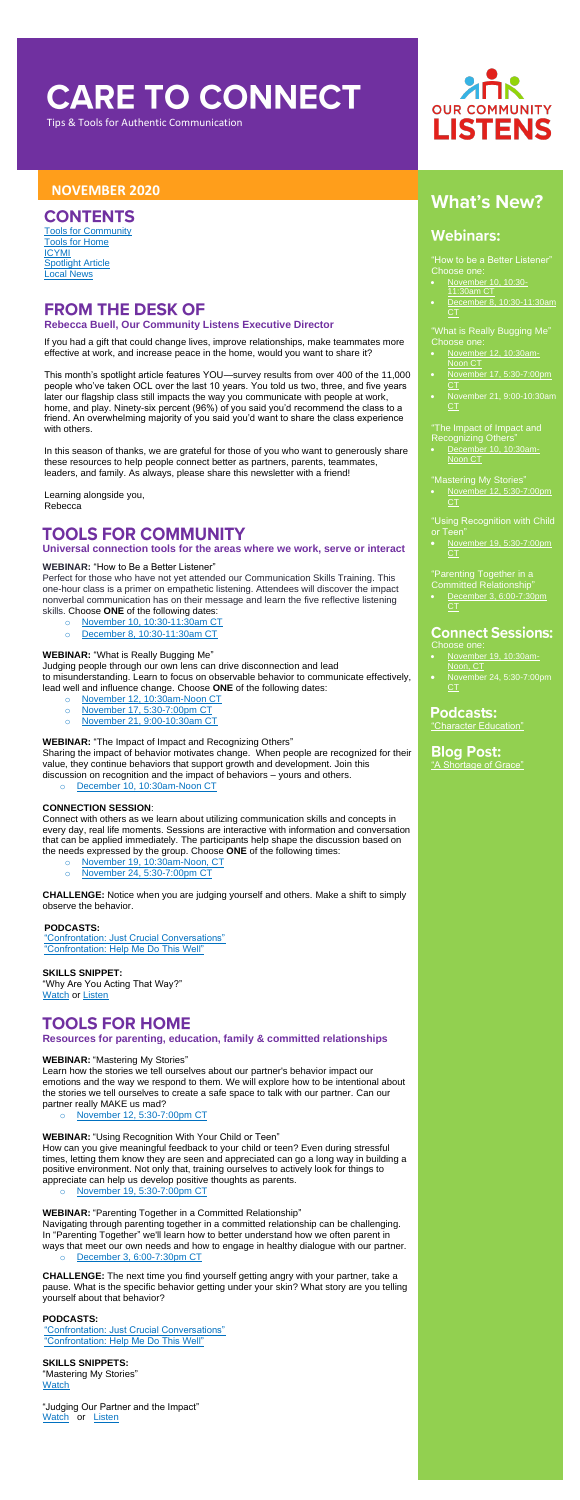# **CARE TO CONNECT**

Tips & Tools for Authentic Communication

### **NOVEMBER 2020**

### **CONTENTS**

"How to be a Better Listener" Choose one:

- [November 12, 10:30am-](https://us02web.zoom.us/meeting/register/tZcldumqqjkiGdDazHRyXEl_myRGKIPvRWIa)[Noon CT](https://us02web.zoom.us/meeting/register/tZcldumqqjkiGdDazHRyXEl_myRGKIPvRWIa)
- [November 17, 5:30-7:00pm](https://us02web.zoom.us/meeting/register/tZ0rfu6trzsvHNIPTkA0aMOPWMMRqMUeIJQ_)  [CT](https://us02web.zoom.us/meeting/register/tZ0rfu6trzsvHNIPTkA0aMOPWMMRqMUeIJQ_)
- [November 21, 9:00-10:30am](https://us02web.zoom.us/meeting/register/tZEtcuGurjsjHdd17QJSfSg6hNQFSy_Db1aw)  **[CT](https://us02web.zoom.us/meeting/register/tZEtcuGurjsjHdd17QJSfSg6hNQFSy_Db1aw)**
- [November 10, 10:30-](https://us02web.zoom.us/meeting/register/tZcsc-utrjspHtM__iinKjNseMpP7zPBKKz1) [11:30am CT](https://us02web.zoom.us/meeting/register/tZcsc-utrjspHtM__iinKjNseMpP7zPBKKz1)
- [December 8, 10:30-11:30am](https://us02web.zoom.us/meeting/register/tZcrdeqsrjIuG9xWvD4Vx20t7l3dsLkqX4ST)  [CT](https://us02web.zoom.us/meeting/register/tZcrdeqsrjIuG9xWvD4Vx20t7l3dsLkqX4ST)

"What is Really Bugging Me" Choose one:

• [November 12, 5:30-7:00pm](https://attendee.gototraining.com/r/3776456710687030785)  **[CT](https://attendee.gototraining.com/r/3776456710687030785)** 

• [November 19, 5:30-7:00pm](https://attendee.gototraining.com/r/3996114944660779521)  **[CT](https://attendee.gototraining.com/r/3996114944660779521)** 

#### "The Impact of Impact and Recognizing Others"

**Blog Post:** ["A Shortage of Grace"](https://www.ourcommunitylistens.org/blog/post/ocl/2020/09/23/a-shortage-of-grace)

• [December 10, 10:30am-](https://us02web.zoom.us/meeting/register/tZAuc-yhpjgqG92sqNM64MoQrGiqx5WqJLnK)[Noon CT](https://us02web.zoom.us/meeting/register/tZAuc-yhpjgqG92sqNM64MoQrGiqx5WqJLnK)

"Mastering My Stories"

### **FROM THE DESK OF Rebecca Buell, Our Community Listens Executive Director**

"Using Recognition with Child or Teen"

### "Parenting Together in a

- Committed Relationship"
- [December 3, 6:00-7:30pm](https://attendee.gototraining.com/r/8166933082280808705)  [CT](https://attendee.gototraining.com/r/8166933082280808705)

### **Connect Sessions:**

Choose one:

- [November 19, 10:30am-](https://us02web.zoom.us/meeting/register/tZYvcuihqTkrGdTisKoyrVneaBDqaNYRk2Df)[Noon, CT](https://us02web.zoom.us/meeting/register/tZYvcuihqTkrGdTisKoyrVneaBDqaNYRk2Df)
- [November 24, 5:30-7:00pm](https://us02web.zoom.us/meeting/register/tZEkd-GrqzwuHdQxhzlVHaBVlq0w9HLrSij9)  [CT](https://us02web.zoom.us/meeting/register/tZEkd-GrqzwuHdQxhzlVHaBVlq0w9HLrSij9)

### **Podcasts:**

["Character Education"](https://soundcloud.com/ourcommunitylistens/epi-057?fbclid=IwAR3puubfU4prsk00GsmEAlR_WTtu3V3JiTQ6MAQmAuckQ7CbmIcFTW8F1Wc)

[Tools for Community](#page-0-0) [Tools for Home](#page-0-1) [ICYMI](#page-1-0) [Spotlight Article](#page-1-1) [Local News](#page-1-2)

If you had a gift that could change lives, improve relationships, make teammates more effective at work, and increase peace in the home, would you want to share it?

This month's spotlight article features YOU—survey results from over 400 of the 11,000 people who've taken OCL over the last 10 years. You told us two, three, and five years later our flagship class still impacts the way you communicate with people at work, home, and play. Ninety-six percent (96%) of you said you'd recommend the class to a friend. An overwhelming majority of you said you'd want to share the class experience with others.

In this season of thanks, we are grateful for those of you who want to generously share these resources to help people connect better as partners, parents, teammates, leaders, and family. As always, please share this newsletter with a friend!

- o [November 19, 10:30am-Noon, CT](https://us02web.zoom.us/meeting/register/tZYvcuihqTkrGdTisKoyrVneaBDqaNYRk2Df)
- o [November 24, 5:30-7:00pm CT](https://us02web.zoom.us/meeting/register/tZEkd-GrqzwuHdQxhzlVHaBVlq0w9HLrSij9)

Learning alongside you, Rebecca

### <span id="page-0-0"></span>**TOOLS FOR COMMUNITY**

**SKILLS SNIPPET:** "Why Are You Acting That Way?" **[Watch](https://www.youtube.com/watch?v=k6RtG52_L1o&feature=youtu.be) or [Listen](https://soundcloud.com/ourcommunitylistens/ss-why-are-you-acting-that-way)** 

### <span id="page-0-1"></span>**TOOLS FOR HOME**

#### **Universal connection tools for the areas where we work, serve or interact**

#### **WEBINAR:** "How to Be a Better Listener"

Perfect for those who have not yet attended our Communication Skills Training. This one-hour class is a primer on empathetic listening. Attendees will discover the impact nonverbal communication has on their message and learn the five reflective listening skills. Choose **ONE** of the following dates:

- o [November 10, 10:30-11:30am CT](https://us02web.zoom.us/meeting/register/tZcsc-utrjspHtM__iinKjNseMpP7zPBKKz1)
- o [December 8, 10:30-11:30am CT](https://us02web.zoom.us/meeting/register/tZcrdeqsrjIuG9xWvD4Vx20t7l3dsLkqX4ST)

#### **WEBINAR:** "What is Really Bugging Me"

Judging people through our own lens can drive disconnection and lead to misunderstanding. Learn to focus on observable behavior to communicate effectively, lead well and influence change. Choose **ONE** of the following dates:

**SKILLS SNIPPETS:** "Mastering My Stories" <u>[Watch](https://www.youtube.com/watch?v=dHly43hKZHM&feature=youtu.be)</u>

- o [November 12, 10:30am-Noon CT](https://us02web.zoom.us/meeting/register/tZcldumqqjkiGdDazHRyXEl_myRGKIPvRWIa)
- o [November 17, 5:30-7:00pm CT](https://us02web.zoom.us/meeting/register/tZ0rfu6trzsvHNIPTkA0aMOPWMMRqMUeIJQ_)
- o [November 21, 9:00-10:30am CT](https://us02web.zoom.us/meeting/register/tZEtcuGurjsjHdd17QJSfSg6hNQFSy_Db1aw)

"Judging Our Partner and the Impact" [Watch](https://www.youtube.com/watch?v=685ArP607UM&feature=youtu.be) or [Listen](https://soundcloud.com/ourcommunitylistens/ss-judging-our-partner-and-the-impact)

#### **WEBINAR:** "The Impact of Impact and Recognizing Others"

Sharing the impact of behavior motivates change. When people are recognized for their value, they continue behaviors that support growth and development. Join this discussion on recognition and the impact of behaviors – yours and others.

o [December 10, 10:30am-Noon CT](https://us02web.zoom.us/meeting/register/tZAuc-yhpjgqG92sqNM64MoQrGiqx5WqJLnK)

#### **CONNECTION SESSION**:

Connect with others as we learn about utilizing communication skills and concepts in every day, real life moments. Sessions are interactive with information and conversation that can be applied immediately. The participants help shape the discussion based on the needs expressed by the group. Choose **ONE** of the following times:



## **What's New?**

### **Webinars:**

**CHALLENGE:** Notice when you are judging yourself and others. Make a shift to simply observe the behavior.

#### **PODCASTS:**

["Confrontation: Just Crucial Conversations"](https://soundcloud.com/ourcommunitylistens/epi005) ["Confrontation: Help Me Do This Well"](https://soundcloud.com/ourcommunitylistens/epi004)

#### **Resources for parenting, education, family & committed relationships**

#### **WEBINAR:** "Mastering My Stories"

Learn how the stories we tell ourselves about our partner's behavior impact our emotions and the way we respond to them. We will explore how to be intentional about the stories we tell ourselves to create a safe space to talk with our partner. Can our partner really MAKE us mad?

o [November 12, 5:30-7:00pm CT](https://attendee.gototraining.com/r/3776456710687030785)

**WEBINAR:** "Using Recognition With Your Child or Teen"

How can you give meaningful feedback to your child or teen? Even during stressful times, letting them know they are seen and appreciated can go a long way in building a positive environment. Not only that, training ourselves to actively look for things to appreciate can help us develop positive thoughts as parents.

o [November 19, 5:30-7:00pm CT](https://attendee.gototraining.com/r/3996114944660779521)

**WEBINAR:** "Parenting Together in a Committed Relationship"

Navigating through parenting together in a committed relationship can be challenging. In "Parenting Together" we'll learn how to better understand how we often parent in ways that meet our own needs and how to engage in healthy dialogue with our partner.

o [December 3, 6:00-7:30pm CT](https://attendee.gototraining.com/r/8166933082280808705)

**CHALLENGE:** The next time you find yourself getting angry with your partner, take a pause. What is the specific behavior getting under your skin? What story are you telling yourself about that behavior?

#### **PODCASTS:**

["Confrontation: Just Crucial Conversations"](https://soundcloud.com/ourcommunitylistens/epi005) ["Confrontation: Help Me Do This Well"](https://soundcloud.com/ourcommunitylistens/epi004)